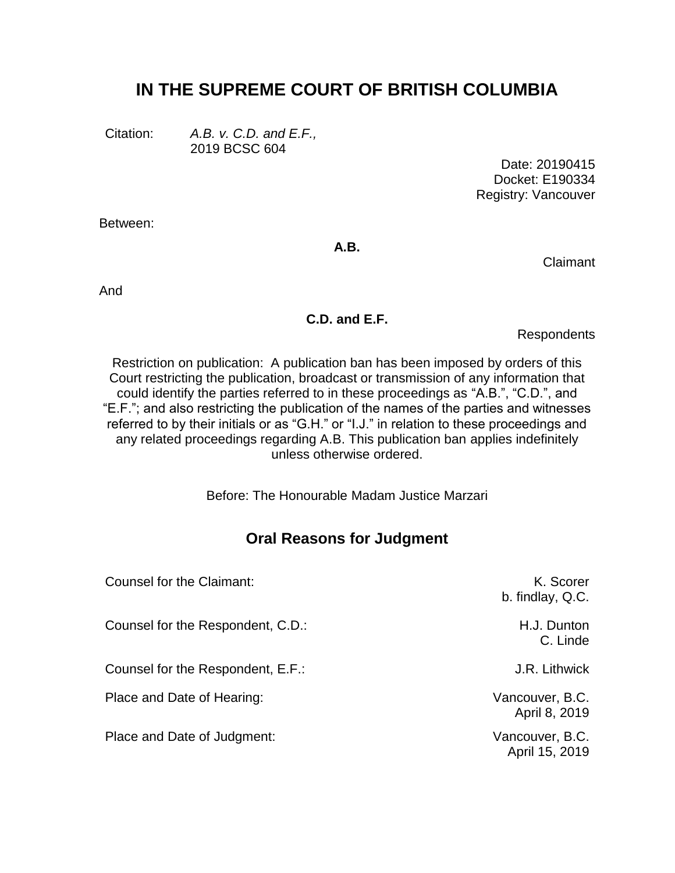# **IN THE SUPREME COURT OF BRITISH COLUMBIA**

Citation: *A.B. v. C.D. and E.F.,* 2019 BCSC 604

> Date: 20190415 Docket: E190334 Registry: Vancouver

Between:

**A.B.**

Claimant

And

#### **C.D. and E.F.**

Respondents

Restriction on publication: A publication ban has been imposed by orders of this Court restricting the publication, broadcast or transmission of any information that could identify the parties referred to in these proceedings as "A.B.", "C.D.", and "E.F."; and also restricting the publication of the names of the parties and witnesses referred to by their initials or as "G.H." or "I.J." in relation to these proceedings and any related proceedings regarding A.B. This publication ban applies indefinitely unless otherwise ordered.

Before: The Honourable Madam Justice Marzari

# **Oral Reasons for Judgment**

| Counsel for the Claimant:         | K. Scorer<br>b. findlay, Q.C.     |
|-----------------------------------|-----------------------------------|
| Counsel for the Respondent, C.D.: | H.J. Dunton<br>C. Linde           |
| Counsel for the Respondent, E.F.: | J.R. Lithwick                     |
| Place and Date of Hearing:        | Vancouver, B.C.<br>April 8, 2019  |
| Place and Date of Judgment:       | Vancouver, B.C.<br>April 15, 2019 |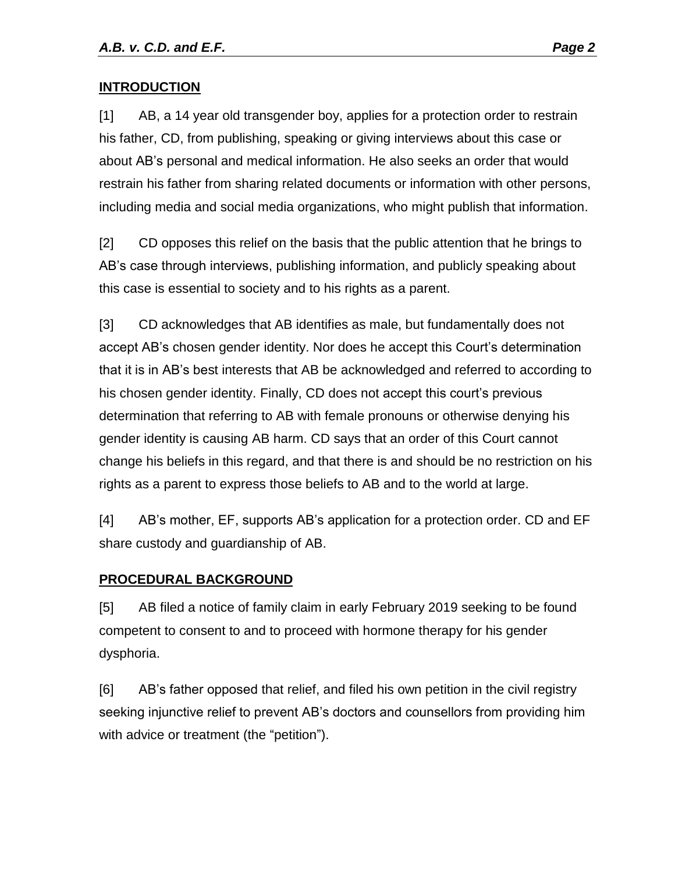#### **INTRODUCTION**

[1] AB, a 14 year old transgender boy, applies for a protection order to restrain his father, CD, from publishing, speaking or giving interviews about this case or about AB's personal and medical information. He also seeks an order that would restrain his father from sharing related documents or information with other persons, including media and social media organizations, who might publish that information.

[2] CD opposes this relief on the basis that the public attention that he brings to AB's case through interviews, publishing information, and publicly speaking about this case is essential to society and to his rights as a parent.

[3] CD acknowledges that AB identifies as male, but fundamentally does not accept AB's chosen gender identity. Nor does he accept this Court's determination that it is in AB's best interests that AB be acknowledged and referred to according to his chosen gender identity. Finally, CD does not accept this court's previous determination that referring to AB with female pronouns or otherwise denying his gender identity is causing AB harm. CD says that an order of this Court cannot change his beliefs in this regard, and that there is and should be no restriction on his rights as a parent to express those beliefs to AB and to the world at large.

[4] AB's mother, EF, supports AB's application for a protection order. CD and EF share custody and guardianship of AB.

#### **PROCEDURAL BACKGROUND**

[5] AB filed a notice of family claim in early February 2019 seeking to be found competent to consent to and to proceed with hormone therapy for his gender dysphoria.

[6] AB's father opposed that relief, and filed his own petition in the civil registry seeking injunctive relief to prevent AB's doctors and counsellors from providing him with advice or treatment (the "petition").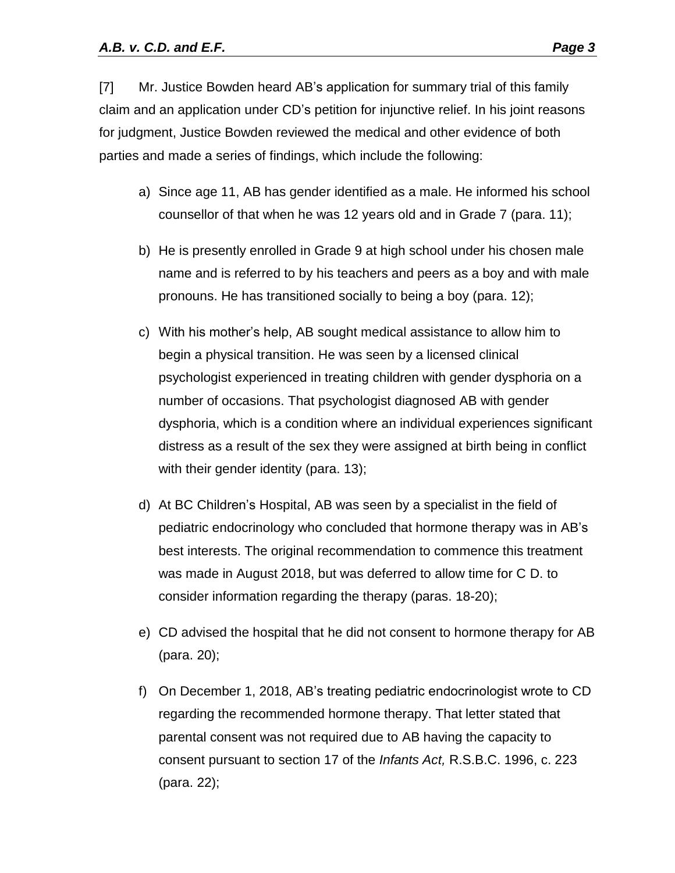[7] Mr. Justice Bowden heard AB's application for summary trial of this family claim and an application under CD's petition for injunctive relief. In his joint reasons for judgment, Justice Bowden reviewed the medical and other evidence of both parties and made a series of findings, which include the following:

- a) Since age 11, AB has gender identified as a male. He informed his school counsellor of that when he was 12 years old and in Grade 7 (para. 11);
- b) He is presently enrolled in Grade 9 at high school under his chosen male name and is referred to by his teachers and peers as a boy and with male pronouns. He has transitioned socially to being a boy (para. 12);
- c) With his mother's help, AB sought medical assistance to allow him to begin a physical transition. He was seen by a licensed clinical psychologist experienced in treating children with gender dysphoria on a number of occasions. That psychologist diagnosed AB with gender dysphoria, which is a condition where an individual experiences significant distress as a result of the sex they were assigned at birth being in conflict with their gender identity (para. 13);
- d) At BC Children's Hospital, AB was seen by a specialist in the field of pediatric endocrinology who concluded that hormone therapy was in AB's best interests. The original recommendation to commence this treatment was made in August 2018, but was deferred to allow time for C D. to consider information regarding the therapy (paras. 18-20);
- e) CD advised the hospital that he did not consent to hormone therapy for AB (para. 20);
- f) On December 1, 2018, AB's treating pediatric endocrinologist wrote to CD regarding the recommended hormone therapy. That letter stated that parental consent was not required due to AB having the capacity to consent pursuant to section 17 of the *Infants Act,* R.S.B.C. 1996, c. 223 (para. 22);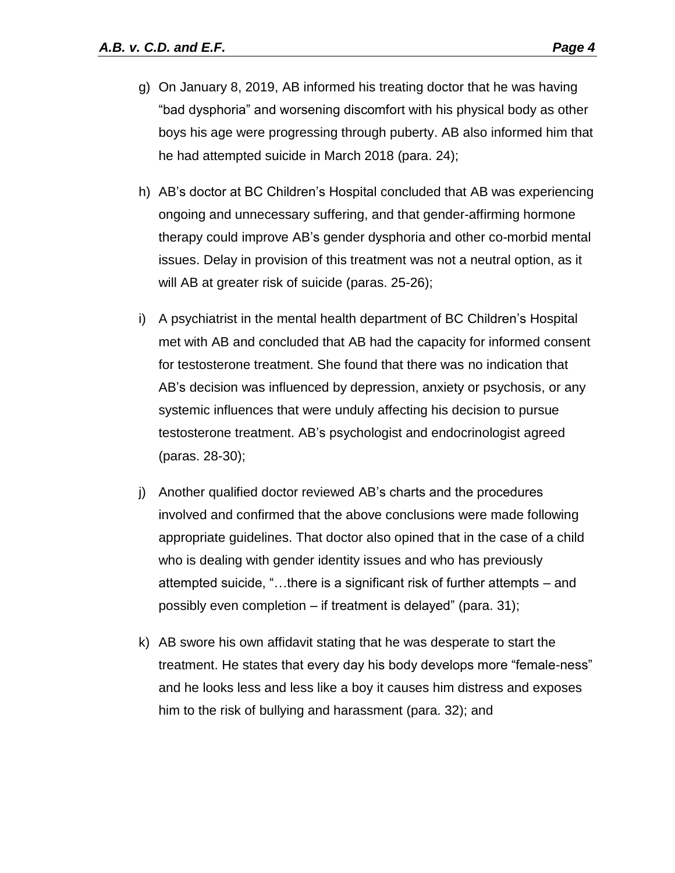- g) On January 8, 2019, AB informed his treating doctor that he was having "bad dysphoria" and worsening discomfort with his physical body as other boys his age were progressing through puberty. AB also informed him that he had attempted suicide in March 2018 (para. 24);
- h) AB's doctor at BC Children's Hospital concluded that AB was experiencing ongoing and unnecessary suffering, and that gender-affirming hormone therapy could improve AB's gender dysphoria and other co-morbid mental issues. Delay in provision of this treatment was not a neutral option, as it will AB at greater risk of suicide (paras. 25-26);
- i) A psychiatrist in the mental health department of BC Children's Hospital met with AB and concluded that AB had the capacity for informed consent for testosterone treatment. She found that there was no indication that AB's decision was influenced by depression, anxiety or psychosis, or any systemic influences that were unduly affecting his decision to pursue testosterone treatment. AB's psychologist and endocrinologist agreed (paras. 28-30);
- j) Another qualified doctor reviewed AB's charts and the procedures involved and confirmed that the above conclusions were made following appropriate guidelines. That doctor also opined that in the case of a child who is dealing with gender identity issues and who has previously attempted suicide, "…there is a significant risk of further attempts – and possibly even completion – if treatment is delayed" (para. 31);
- k) AB swore his own affidavit stating that he was desperate to start the treatment. He states that every day his body develops more "female-ness" and he looks less and less like a boy it causes him distress and exposes him to the risk of bullying and harassment (para. 32); and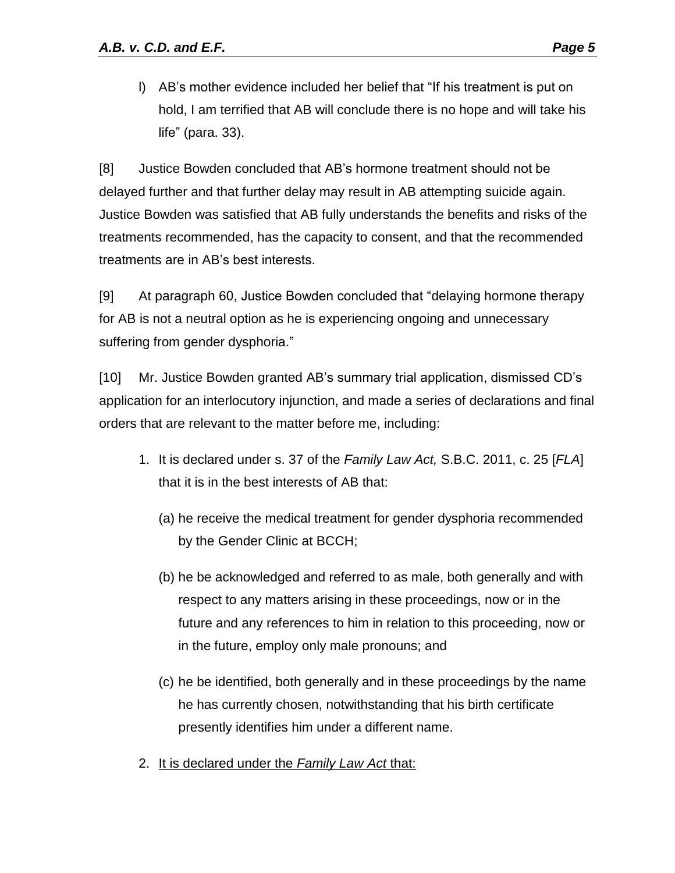l) AB's mother evidence included her belief that "If his treatment is put on hold, I am terrified that AB will conclude there is no hope and will take his life" (para. 33).

[8] Justice Bowden concluded that AB's hormone treatment should not be delayed further and that further delay may result in AB attempting suicide again. Justice Bowden was satisfied that AB fully understands the benefits and risks of the treatments recommended, has the capacity to consent, and that the recommended treatments are in AB's best interests.

[9] At paragraph 60, Justice Bowden concluded that "delaying hormone therapy for AB is not a neutral option as he is experiencing ongoing and unnecessary suffering from gender dysphoria."

[10] Mr. Justice Bowden granted AB's summary trial application, dismissed CD's application for an interlocutory injunction, and made a series of declarations and final orders that are relevant to the matter before me, including:

- 1. It is declared under s. 37 of the *Family Law Act,* S.B.C. 2011, c. 25 [*FLA*] that it is in the best interests of AB that:
	- (a) he receive the medical treatment for gender dysphoria recommended by the Gender Clinic at BCCH;
	- (b) he be acknowledged and referred to as male, both generally and with respect to any matters arising in these proceedings, now or in the future and any references to him in relation to this proceeding, now or in the future, employ only male pronouns; and
	- (c) he be identified, both generally and in these proceedings by the name he has currently chosen, notwithstanding that his birth certificate presently identifies him under a different name.
- 2. It is declared under the *Family Law Act* that: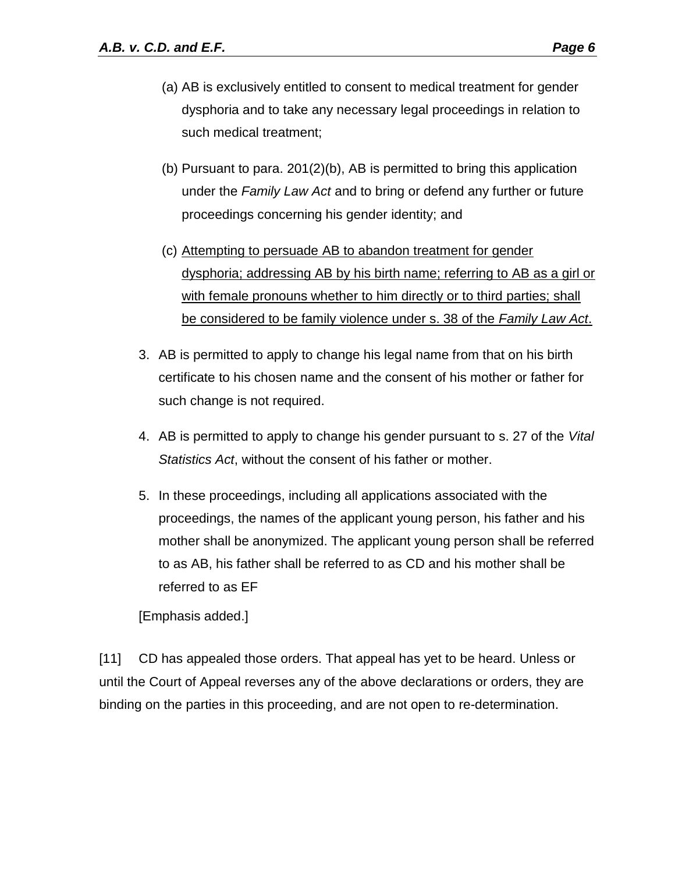- (a) AB is exclusively entitled to consent to medical treatment for gender dysphoria and to take any necessary legal proceedings in relation to such medical treatment;
- (b) Pursuant to para. 201(2)(b), AB is permitted to bring this application under the *Family Law Act* and to bring or defend any further or future proceedings concerning his gender identity; and
- (c) Attempting to persuade AB to abandon treatment for gender dysphoria; addressing AB by his birth name; referring to AB as a girl or with female pronouns whether to him directly or to third parties; shall be considered to be family violence under s. 38 of the *Family Law Act*.
- 3. AB is permitted to apply to change his legal name from that on his birth certificate to his chosen name and the consent of his mother or father for such change is not required.
- 4. AB is permitted to apply to change his gender pursuant to s. 27 of the *Vital Statistics Act*, without the consent of his father or mother.
- 5. In these proceedings, including all applications associated with the proceedings, the names of the applicant young person, his father and his mother shall be anonymized. The applicant young person shall be referred to as AB, his father shall be referred to as CD and his mother shall be referred to as EF

[Emphasis added.]

[11] CD has appealed those orders. That appeal has yet to be heard. Unless or until the Court of Appeal reverses any of the above declarations or orders, they are binding on the parties in this proceeding, and are not open to re-determination.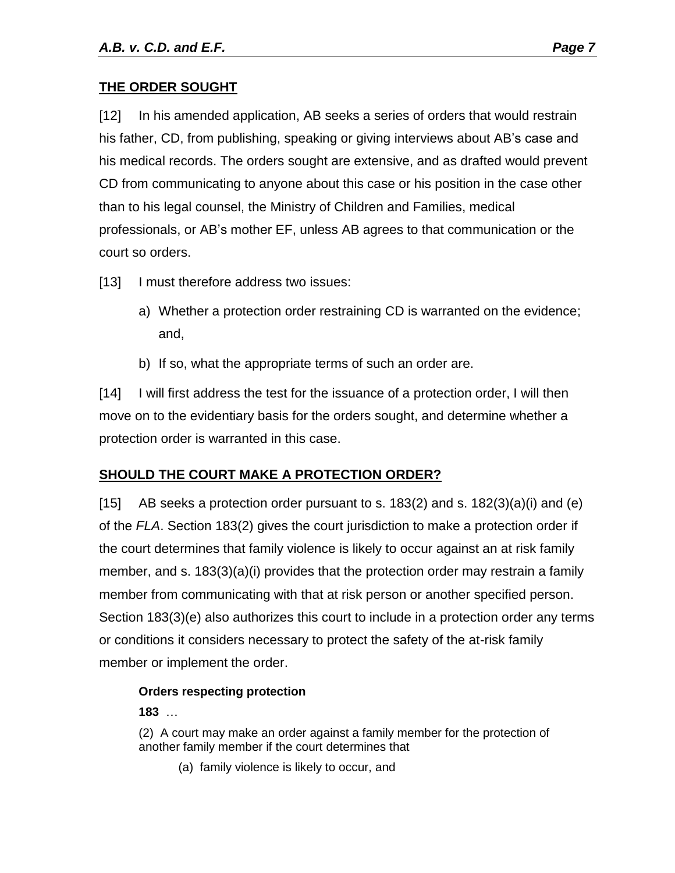#### **THE ORDER SOUGHT**

[12] In his amended application, AB seeks a series of orders that would restrain his father, CD, from publishing, speaking or giving interviews about AB's case and his medical records. The orders sought are extensive, and as drafted would prevent CD from communicating to anyone about this case or his position in the case other than to his legal counsel, the Ministry of Children and Families, medical professionals, or AB's mother EF, unless AB agrees to that communication or the court so orders.

- [13] I must therefore address two issues:
	- a) Whether a protection order restraining CD is warranted on the evidence; and,
	- b) If so, what the appropriate terms of such an order are.

[14] I will first address the test for the issuance of a protection order, I will then move on to the evidentiary basis for the orders sought, and determine whether a protection order is warranted in this case.

## **SHOULD THE COURT MAKE A PROTECTION ORDER?**

[15] AB seeks a protection order pursuant to s. 183(2) and s. 182(3)(a)(i) and (e) of the *FLA*. Section 183(2) gives the court jurisdiction to make a protection order if the court determines that family violence is likely to occur against an at risk family member, and s. 183(3)(a)(i) provides that the protection order may restrain a family member from communicating with that at risk person or another specified person. Section 183(3)(e) also authorizes this court to include in a protection order any terms or conditions it considers necessary to protect the safety of the at-risk family member or implement the order.

#### **Orders respecting protection**

**183** …

(2) A court may make an order against a family member for the protection of another family member if the court determines that

(a) family violence is likely to occur, and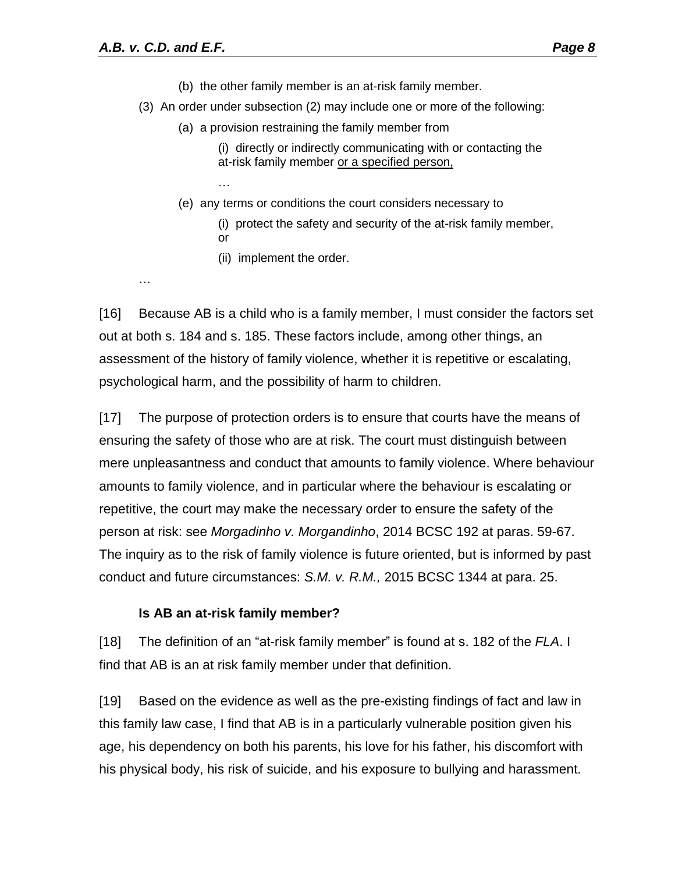…

- (b) the other family member is an at-risk family member.
- (3) An order under subsection (2) may include one or more of the following:
	- (a) a provision restraining the family member from
		- (i) directly or indirectly communicating with or contacting the at-risk family member or a specified person,
	- (e) any terms or conditions the court considers necessary to
		- (i) protect the safety and security of the at-risk family member, or
		- (ii) implement the order.

…

[16] Because AB is a child who is a family member, I must consider the factors set out at both s. 184 and s. 185. These factors include, among other things, an assessment of the history of family violence, whether it is repetitive or escalating, psychological harm, and the possibility of harm to children.

[17] The purpose of protection orders is to ensure that courts have the means of ensuring the safety of those who are at risk. The court must distinguish between mere unpleasantness and conduct that amounts to family violence. Where behaviour amounts to family violence, and in particular where the behaviour is escalating or repetitive, the court may make the necessary order to ensure the safety of the person at risk: see *Morgadinho v. Morgandinho*, 2014 BCSC 192 at paras. 59-67. The inquiry as to the risk of family violence is future oriented, but is informed by past conduct and future circumstances: *S.M. v. R.M.,* 2015 BCSC 1344 at para. 25.

#### **Is AB an at-risk family member?**

[18] The definition of an "at-risk family member" is found at s. 182 of the *FLA*. I find that AB is an at risk family member under that definition.

[19] Based on the evidence as well as the pre-existing findings of fact and law in this family law case, I find that AB is in a particularly vulnerable position given his age, his dependency on both his parents, his love for his father, his discomfort with his physical body, his risk of suicide, and his exposure to bullying and harassment.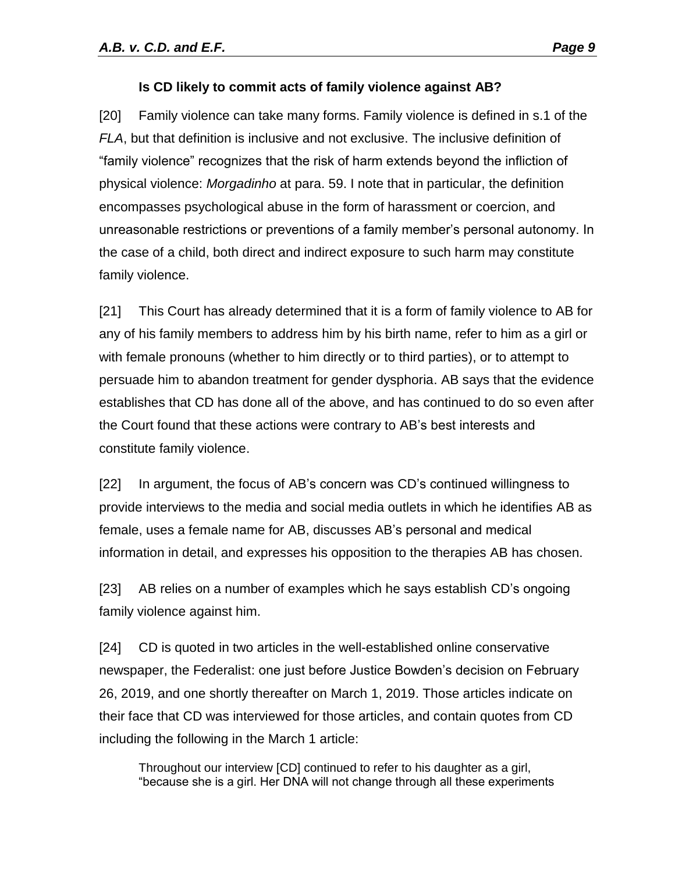#### **Is CD likely to commit acts of family violence against AB?**

[20] Family violence can take many forms. Family violence is defined in s.1 of the *FLA*, but that definition is inclusive and not exclusive. The inclusive definition of "family violence" recognizes that the risk of harm extends beyond the infliction of physical violence: *Morgadinho* at para. 59. I note that in particular, the definition encompasses psychological abuse in the form of harassment or coercion, and unreasonable restrictions or preventions of a family member's personal autonomy. In the case of a child, both direct and indirect exposure to such harm may constitute family violence.

[21] This Court has already determined that it is a form of family violence to AB for any of his family members to address him by his birth name, refer to him as a girl or with female pronouns (whether to him directly or to third parties), or to attempt to persuade him to abandon treatment for gender dysphoria. AB says that the evidence establishes that CD has done all of the above, and has continued to do so even after the Court found that these actions were contrary to AB's best interests and constitute family violence.

[22] In argument, the focus of AB's concern was CD's continued willingness to provide interviews to the media and social media outlets in which he identifies AB as female, uses a female name for AB, discusses AB's personal and medical information in detail, and expresses his opposition to the therapies AB has chosen.

[23] AB relies on a number of examples which he says establish CD's ongoing family violence against him.

[24] CD is quoted in two articles in the well-established online conservative newspaper, the Federalist: one just before Justice Bowden's decision on February 26, 2019, and one shortly thereafter on March 1, 2019. Those articles indicate on their face that CD was interviewed for those articles, and contain quotes from CD including the following in the March 1 article:

Throughout our interview [CD] continued to refer to his daughter as a girl, "because she is a girl. Her DNA will not change through all these experiments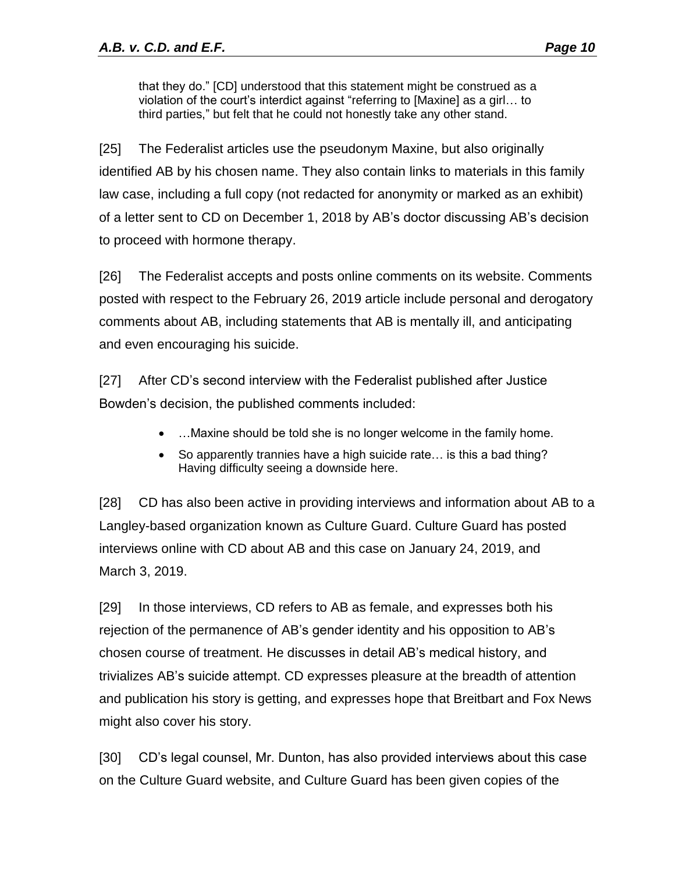that they do." [CD] understood that this statement might be construed as a violation of the court's interdict against "referring to [Maxine] as a girl… to third parties," but felt that he could not honestly take any other stand.

[25] The Federalist articles use the pseudonym Maxine, but also originally identified AB by his chosen name. They also contain links to materials in this family law case, including a full copy (not redacted for anonymity or marked as an exhibit) of a letter sent to CD on December 1, 2018 by AB's doctor discussing AB's decision to proceed with hormone therapy.

[26] The Federalist accepts and posts online comments on its website. Comments posted with respect to the February 26, 2019 article include personal and derogatory comments about AB, including statements that AB is mentally ill, and anticipating and even encouraging his suicide.

[27] After CD's second interview with the Federalist published after Justice Bowden's decision, the published comments included:

- ... Maxine should be told she is no longer welcome in the family home.
- So apparently trannies have a high suicide rate… is this a bad thing? Having difficulty seeing a downside here.

[28] CD has also been active in providing interviews and information about AB to a Langley-based organization known as Culture Guard. Culture Guard has posted interviews online with CD about AB and this case on January 24, 2019, and March 3, 2019.

[29] In those interviews, CD refers to AB as female, and expresses both his rejection of the permanence of AB's gender identity and his opposition to AB's chosen course of treatment. He discusses in detail AB's medical history, and trivializes AB's suicide attempt. CD expresses pleasure at the breadth of attention and publication his story is getting, and expresses hope that Breitbart and Fox News might also cover his story.

[30] CD's legal counsel, Mr. Dunton, has also provided interviews about this case on the Culture Guard website, and Culture Guard has been given copies of the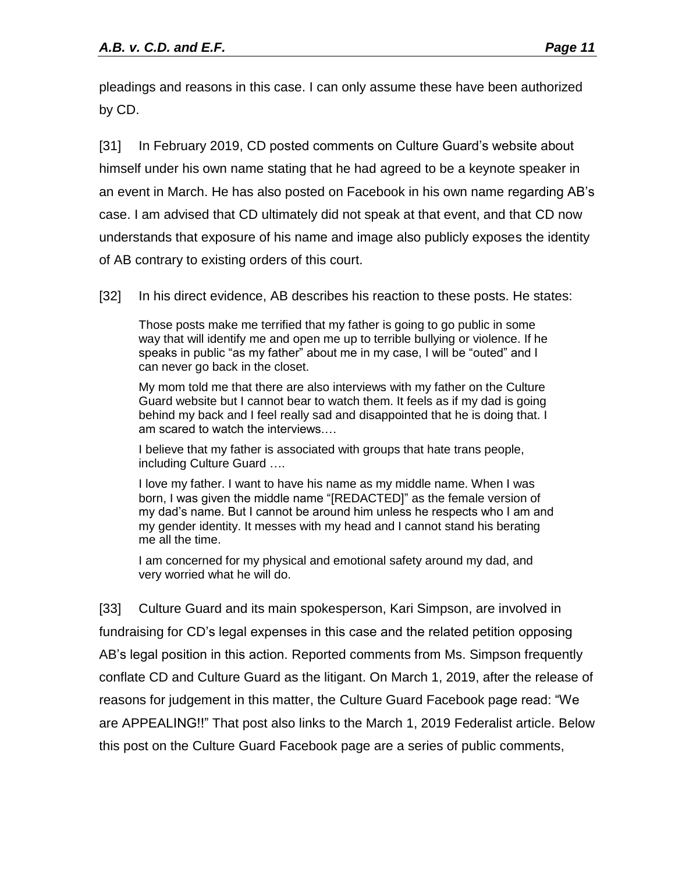pleadings and reasons in this case. I can only assume these have been authorized by CD.

[31] In February 2019, CD posted comments on Culture Guard's website about himself under his own name stating that he had agreed to be a keynote speaker in an event in March. He has also posted on Facebook in his own name regarding AB's case. I am advised that CD ultimately did not speak at that event, and that CD now understands that exposure of his name and image also publicly exposes the identity of AB contrary to existing orders of this court.

[32] In his direct evidence, AB describes his reaction to these posts. He states:

Those posts make me terrified that my father is going to go public in some way that will identify me and open me up to terrible bullying or violence. If he speaks in public "as my father" about me in my case, I will be "outed" and I can never go back in the closet.

My mom told me that there are also interviews with my father on the Culture Guard website but I cannot bear to watch them. It feels as if my dad is going behind my back and I feel really sad and disappointed that he is doing that. I am scared to watch the interviews.…

I believe that my father is associated with groups that hate trans people, including Culture Guard ….

I love my father. I want to have his name as my middle name. When I was born, I was given the middle name "[REDACTED]" as the female version of my dad's name. But I cannot be around him unless he respects who I am and my gender identity. It messes with my head and I cannot stand his berating me all the time.

I am concerned for my physical and emotional safety around my dad, and very worried what he will do.

[33] Culture Guard and its main spokesperson, Kari Simpson, are involved in fundraising for CD's legal expenses in this case and the related petition opposing AB's legal position in this action. Reported comments from Ms. Simpson frequently conflate CD and Culture Guard as the litigant. On March 1, 2019, after the release of reasons for judgement in this matter, the Culture Guard Facebook page read: "We are APPEALING!!" That post also links to the March 1, 2019 Federalist article. Below this post on the Culture Guard Facebook page are a series of public comments,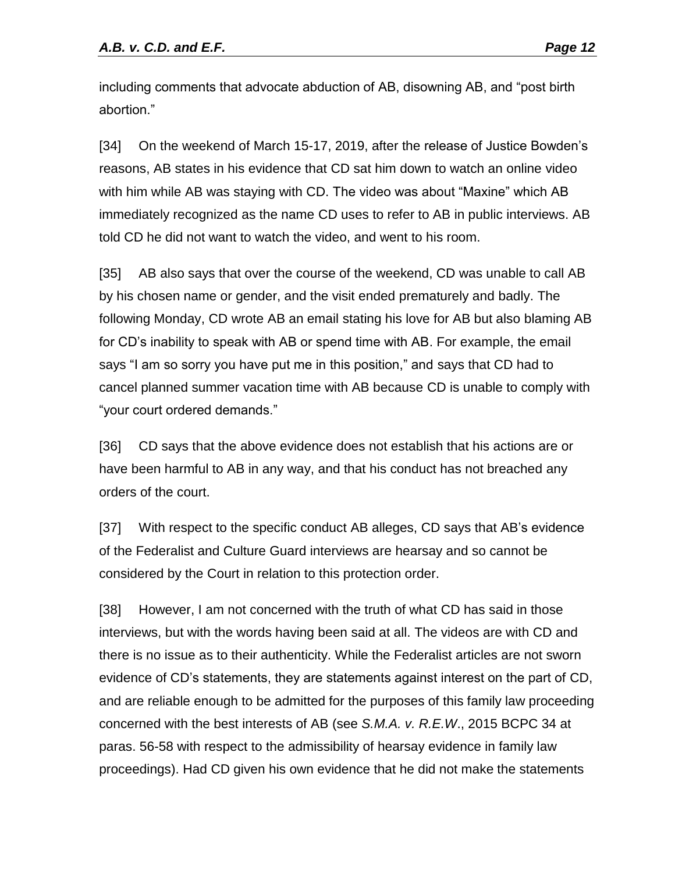including comments that advocate abduction of AB, disowning AB, and "post birth abortion."

[34] On the weekend of March 15-17, 2019, after the release of Justice Bowden's reasons, AB states in his evidence that CD sat him down to watch an online video with him while AB was staying with CD. The video was about "Maxine" which AB immediately recognized as the name CD uses to refer to AB in public interviews. AB told CD he did not want to watch the video, and went to his room.

[35] AB also says that over the course of the weekend, CD was unable to call AB by his chosen name or gender, and the visit ended prematurely and badly. The following Monday, CD wrote AB an email stating his love for AB but also blaming AB for CD's inability to speak with AB or spend time with AB. For example, the email says "I am so sorry you have put me in this position," and says that CD had to cancel planned summer vacation time with AB because CD is unable to comply with "your court ordered demands."

[36] CD says that the above evidence does not establish that his actions are or have been harmful to AB in any way, and that his conduct has not breached any orders of the court.

[37] With respect to the specific conduct AB alleges, CD says that AB's evidence of the Federalist and Culture Guard interviews are hearsay and so cannot be considered by the Court in relation to this protection order.

[38] However, I am not concerned with the truth of what CD has said in those interviews, but with the words having been said at all. The videos are with CD and there is no issue as to their authenticity. While the Federalist articles are not sworn evidence of CD's statements, they are statements against interest on the part of CD, and are reliable enough to be admitted for the purposes of this family law proceeding concerned with the best interests of AB (see *S.M.A. v. R.E.W*., 2015 BCPC 34 at paras. 56-58 with respect to the admissibility of hearsay evidence in family law proceedings). Had CD given his own evidence that he did not make the statements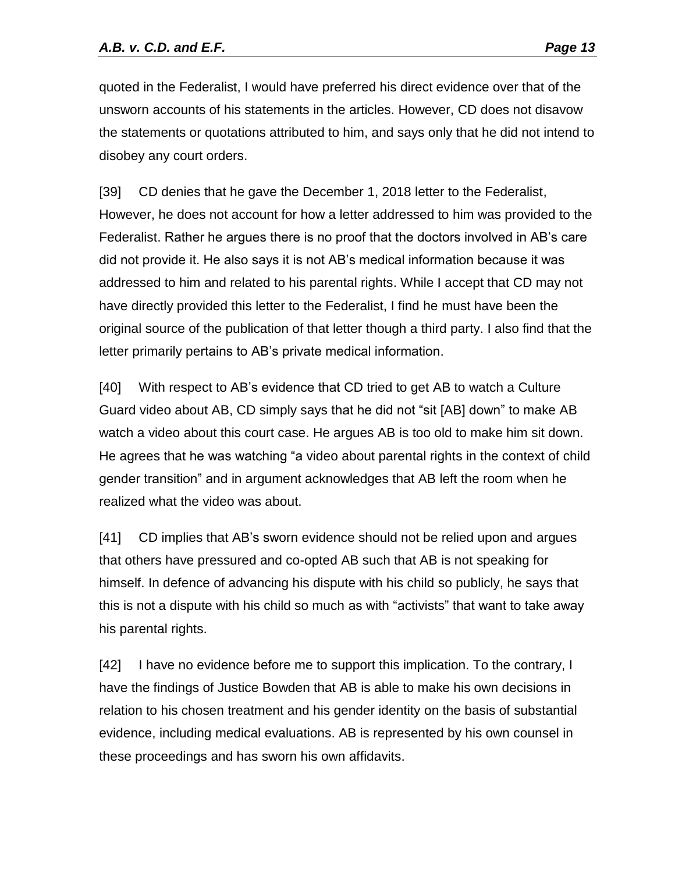quoted in the Federalist, I would have preferred his direct evidence over that of the unsworn accounts of his statements in the articles. However, CD does not disavow the statements or quotations attributed to him, and says only that he did not intend to disobey any court orders.

[39] CD denies that he gave the December 1, 2018 letter to the Federalist, However, he does not account for how a letter addressed to him was provided to the Federalist. Rather he argues there is no proof that the doctors involved in AB's care did not provide it. He also says it is not AB's medical information because it was addressed to him and related to his parental rights. While I accept that CD may not have directly provided this letter to the Federalist, I find he must have been the original source of the publication of that letter though a third party. I also find that the letter primarily pertains to AB's private medical information.

[40] With respect to AB's evidence that CD tried to get AB to watch a Culture Guard video about AB, CD simply says that he did not "sit [AB] down" to make AB watch a video about this court case. He argues AB is too old to make him sit down. He agrees that he was watching "a video about parental rights in the context of child gender transition" and in argument acknowledges that AB left the room when he realized what the video was about.

[41] CD implies that AB's sworn evidence should not be relied upon and argues that others have pressured and co-opted AB such that AB is not speaking for himself. In defence of advancing his dispute with his child so publicly, he says that this is not a dispute with his child so much as with "activists" that want to take away his parental rights.

[42] I have no evidence before me to support this implication. To the contrary, I have the findings of Justice Bowden that AB is able to make his own decisions in relation to his chosen treatment and his gender identity on the basis of substantial evidence, including medical evaluations. AB is represented by his own counsel in these proceedings and has sworn his own affidavits.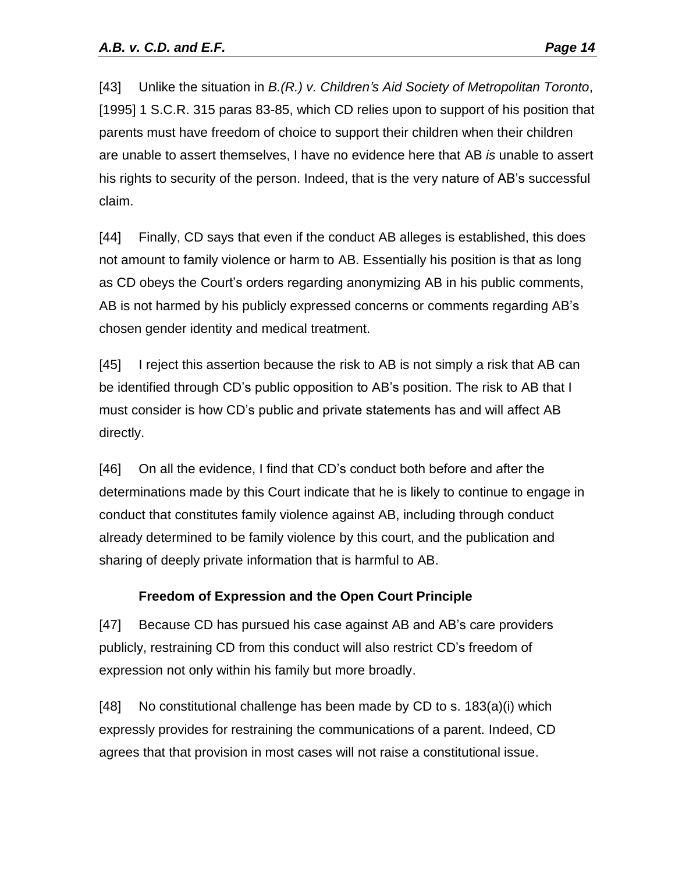[43] Unlike the situation in *B.(R.) v. Children's Aid Society of Metropolitan Toronto*, [1995] 1 S.C.R. 315 paras 83-85, which CD relies upon to support of his position that parents must have freedom of choice to support their children when their children are unable to assert themselves, I have no evidence here that AB *is* unable to assert his rights to security of the person. Indeed, that is the very nature of AB's successful claim.

[44] Finally, CD says that even if the conduct AB alleges is established, this does not amount to family violence or harm to AB. Essentially his position is that as long as CD obeys the Court's orders regarding anonymizing AB in his public comments, AB is not harmed by his publicly expressed concerns or comments regarding AB's chosen gender identity and medical treatment.

[45] I reject this assertion because the risk to AB is not simply a risk that AB can be identified through CD's public opposition to AB's position. The risk to AB that I must consider is how CD's public and private statements has and will affect AB directly.

[46] On all the evidence, I find that CD's conduct both before and after the determinations made by this Court indicate that he is likely to continue to engage in conduct that constitutes family violence against AB, including through conduct already determined to be family violence by this court, and the publication and sharing of deeply private information that is harmful to AB.

## **Freedom of Expression and the Open Court Principle**

[47] Because CD has pursued his case against AB and AB's care providers publicly, restraining CD from this conduct will also restrict CD's freedom of expression not only within his family but more broadly.

[48] No constitutional challenge has been made by CD to s. 183(a)(i) which expressly provides for restraining the communications of a parent. Indeed, CD agrees that that provision in most cases will not raise a constitutional issue.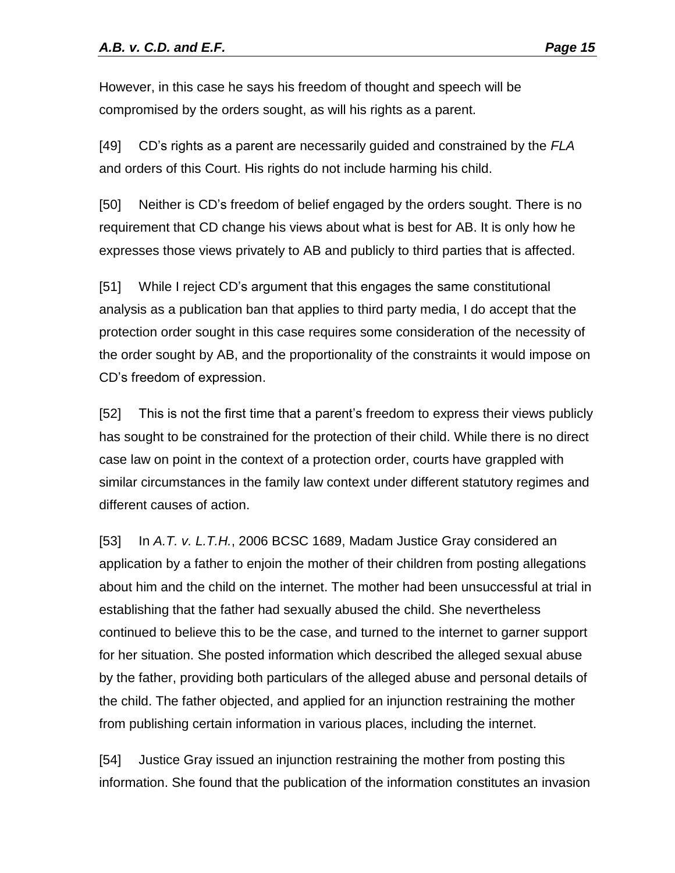However, in this case he says his freedom of thought and speech will be compromised by the orders sought, as will his rights as a parent.

[49] CD's rights as a parent are necessarily guided and constrained by the *FLA*  and orders of this Court. His rights do not include harming his child.

[50] Neither is CD's freedom of belief engaged by the orders sought. There is no requirement that CD change his views about what is best for AB. It is only how he expresses those views privately to AB and publicly to third parties that is affected.

[51] While I reject CD's argument that this engages the same constitutional analysis as a publication ban that applies to third party media, I do accept that the protection order sought in this case requires some consideration of the necessity of the order sought by AB, and the proportionality of the constraints it would impose on CD's freedom of expression.

[52] This is not the first time that a parent's freedom to express their views publicly has sought to be constrained for the protection of their child. While there is no direct case law on point in the context of a protection order, courts have grappled with similar circumstances in the family law context under different statutory regimes and different causes of action.

[53] In *A.T. v. L.T.H.*, 2006 BCSC 1689, Madam Justice Gray considered an application by a father to enjoin the mother of their children from posting allegations about him and the child on the internet. The mother had been unsuccessful at trial in establishing that the father had sexually abused the child. She nevertheless continued to believe this to be the case, and turned to the internet to garner support for her situation. She posted information which described the alleged sexual abuse by the father, providing both particulars of the alleged abuse and personal details of the child. The father objected, and applied for an injunction restraining the mother from publishing certain information in various places, including the internet.

[54] Justice Gray issued an injunction restraining the mother from posting this information. She found that the publication of the information constitutes an invasion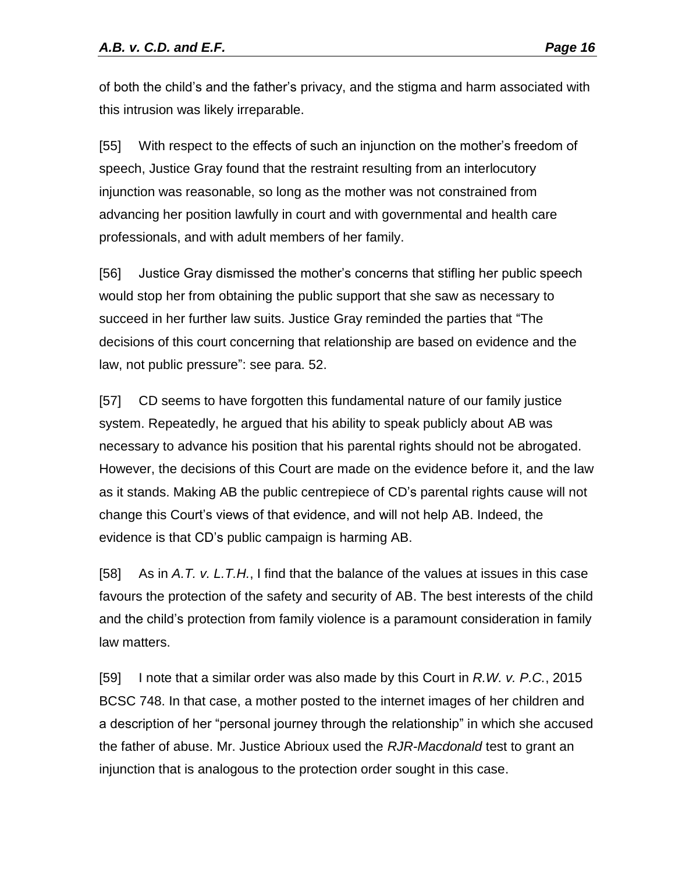of both the child's and the father's privacy, and the stigma and harm associated with this intrusion was likely irreparable.

[55] With respect to the effects of such an injunction on the mother's freedom of speech, Justice Gray found that the restraint resulting from an interlocutory injunction was reasonable, so long as the mother was not constrained from advancing her position lawfully in court and with governmental and health care professionals, and with adult members of her family.

[56] Justice Gray dismissed the mother's concerns that stifling her public speech would stop her from obtaining the public support that she saw as necessary to succeed in her further law suits. Justice Gray reminded the parties that "The decisions of this court concerning that relationship are based on evidence and the law, not public pressure": see para. 52.

[57] CD seems to have forgotten this fundamental nature of our family justice system. Repeatedly, he argued that his ability to speak publicly about AB was necessary to advance his position that his parental rights should not be abrogated. However, the decisions of this Court are made on the evidence before it, and the law as it stands. Making AB the public centrepiece of CD's parental rights cause will not change this Court's views of that evidence, and will not help AB. Indeed, the evidence is that CD's public campaign is harming AB.

[58] As in *A.T. v. L.T.H.*, I find that the balance of the values at issues in this case favours the protection of the safety and security of AB. The best interests of the child and the child's protection from family violence is a paramount consideration in family law matters.

[59] I note that a similar order was also made by this Court in *R.W. v. P.C.*, 2015 BCSC 748. In that case, a mother posted to the internet images of her children and a description of her "personal journey through the relationship" in which she accused the father of abuse. Mr. Justice Abrioux used the *RJR-Macdonald* test to grant an injunction that is analogous to the protection order sought in this case.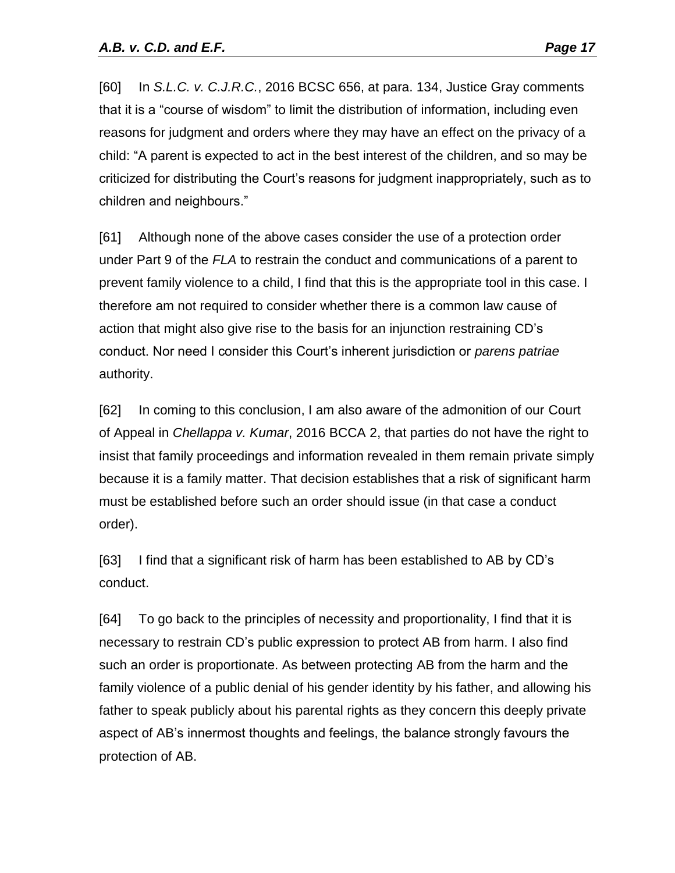[60] In *S.L.C. v. C.J.R.C.*, 2016 BCSC 656, at para. 134, Justice Gray comments that it is a "course of wisdom" to limit the distribution of information, including even reasons for judgment and orders where they may have an effect on the privacy of a child: "A parent is expected to act in the best interest of the children, and so may be criticized for distributing the Court's reasons for judgment inappropriately, such as to children and neighbours."

[61] Although none of the above cases consider the use of a protection order under Part 9 of the *FLA* to restrain the conduct and communications of a parent to prevent family violence to a child, I find that this is the appropriate tool in this case. I therefore am not required to consider whether there is a common law cause of action that might also give rise to the basis for an injunction restraining CD's conduct. Nor need I consider this Court's inherent jurisdiction or *parens patriae* authority.

[62] In coming to this conclusion, I am also aware of the admonition of our Court of Appeal in *Chellappa v. Kumar*, 2016 BCCA 2, that parties do not have the right to insist that family proceedings and information revealed in them remain private simply because it is a family matter. That decision establishes that a risk of significant harm must be established before such an order should issue (in that case a conduct order).

[63] I find that a significant risk of harm has been established to AB by CD's conduct.

[64] To go back to the principles of necessity and proportionality, I find that it is necessary to restrain CD's public expression to protect AB from harm. I also find such an order is proportionate. As between protecting AB from the harm and the family violence of a public denial of his gender identity by his father, and allowing his father to speak publicly about his parental rights as they concern this deeply private aspect of AB's innermost thoughts and feelings, the balance strongly favours the protection of AB.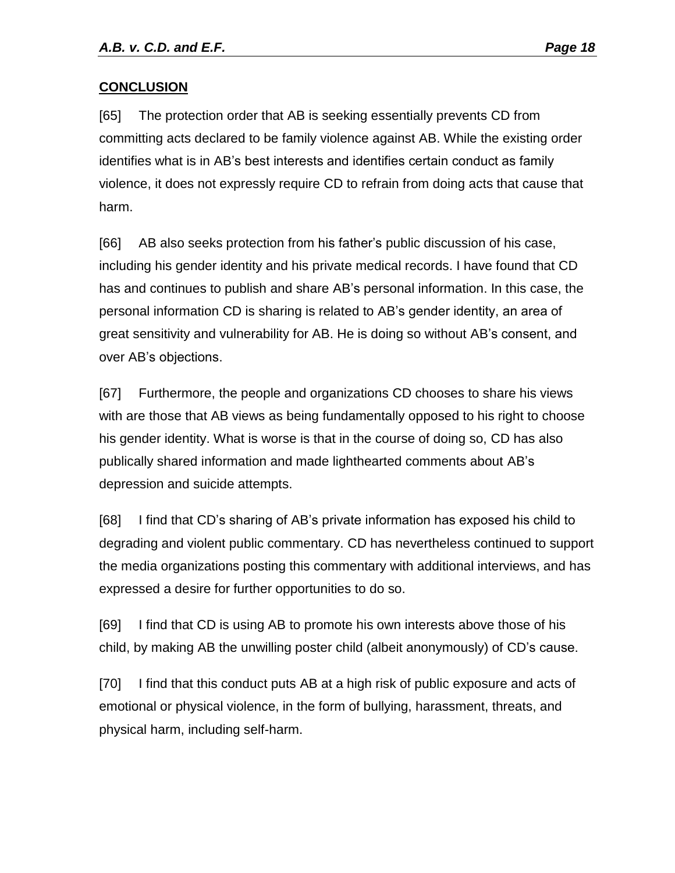#### **CONCLUSION**

[65] The protection order that AB is seeking essentially prevents CD from committing acts declared to be family violence against AB. While the existing order identifies what is in AB's best interests and identifies certain conduct as family violence, it does not expressly require CD to refrain from doing acts that cause that harm.

[66] AB also seeks protection from his father's public discussion of his case, including his gender identity and his private medical records. I have found that CD has and continues to publish and share AB's personal information. In this case, the personal information CD is sharing is related to AB's gender identity, an area of great sensitivity and vulnerability for AB. He is doing so without AB's consent, and over AB's objections.

[67] Furthermore, the people and organizations CD chooses to share his views with are those that AB views as being fundamentally opposed to his right to choose his gender identity. What is worse is that in the course of doing so, CD has also publically shared information and made lighthearted comments about AB's depression and suicide attempts.

[68] I find that CD's sharing of AB's private information has exposed his child to degrading and violent public commentary. CD has nevertheless continued to support the media organizations posting this commentary with additional interviews, and has expressed a desire for further opportunities to do so.

[69] I find that CD is using AB to promote his own interests above those of his child, by making AB the unwilling poster child (albeit anonymously) of CD's cause.

[70] I find that this conduct puts AB at a high risk of public exposure and acts of emotional or physical violence, in the form of bullying, harassment, threats, and physical harm, including self-harm.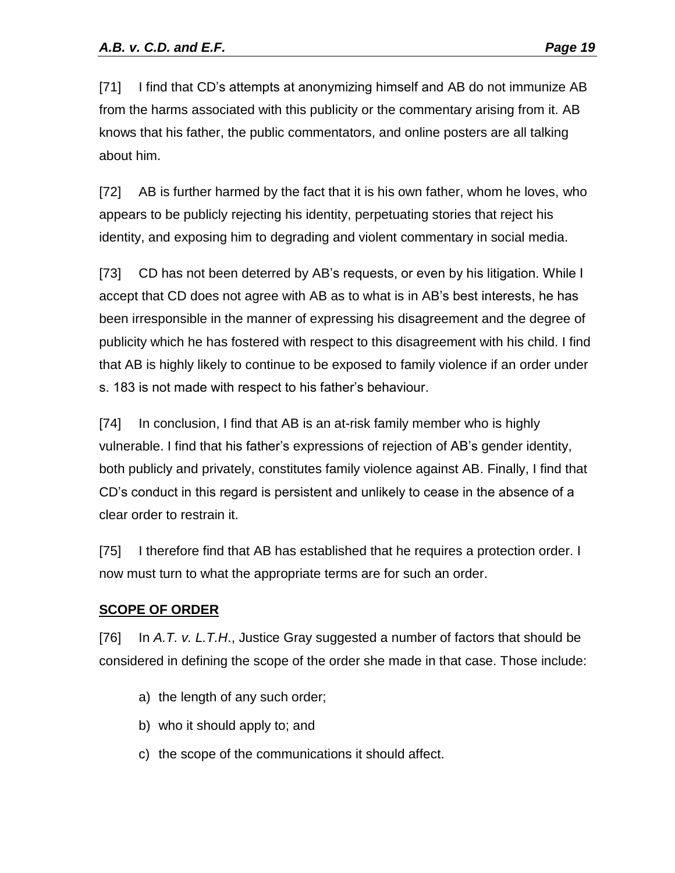[71] I find that CD's attempts at anonymizing himself and AB do not immunize AB from the harms associated with this publicity or the commentary arising from it. AB knows that his father, the public commentators, and online posters are all talking about him.

[72] AB is further harmed by the fact that it is his own father, whom he loves, who appears to be publicly rejecting his identity, perpetuating stories that reject his identity, and exposing him to degrading and violent commentary in social media.

[73] CD has not been deterred by AB's requests, or even by his litigation. While I accept that CD does not agree with AB as to what is in AB's best interests, he has been irresponsible in the manner of expressing his disagreement and the degree of publicity which he has fostered with respect to this disagreement with his child. I find that AB is highly likely to continue to be exposed to family violence if an order under s. 183 is not made with respect to his father's behaviour.

[74] In conclusion, I find that AB is an at-risk family member who is highly vulnerable. I find that his father's expressions of rejection of AB's gender identity, both publicly and privately, constitutes family violence against AB. Finally, I find that CD's conduct in this regard is persistent and unlikely to cease in the absence of a clear order to restrain it.

[75] I therefore find that AB has established that he requires a protection order. I now must turn to what the appropriate terms are for such an order.

#### **SCOPE OF ORDER**

[76] In *A.T. v. L.T.H*., Justice Gray suggested a number of factors that should be considered in defining the scope of the order she made in that case. Those include:

- a) the length of any such order;
- b) who it should apply to; and
- c) the scope of the communications it should affect.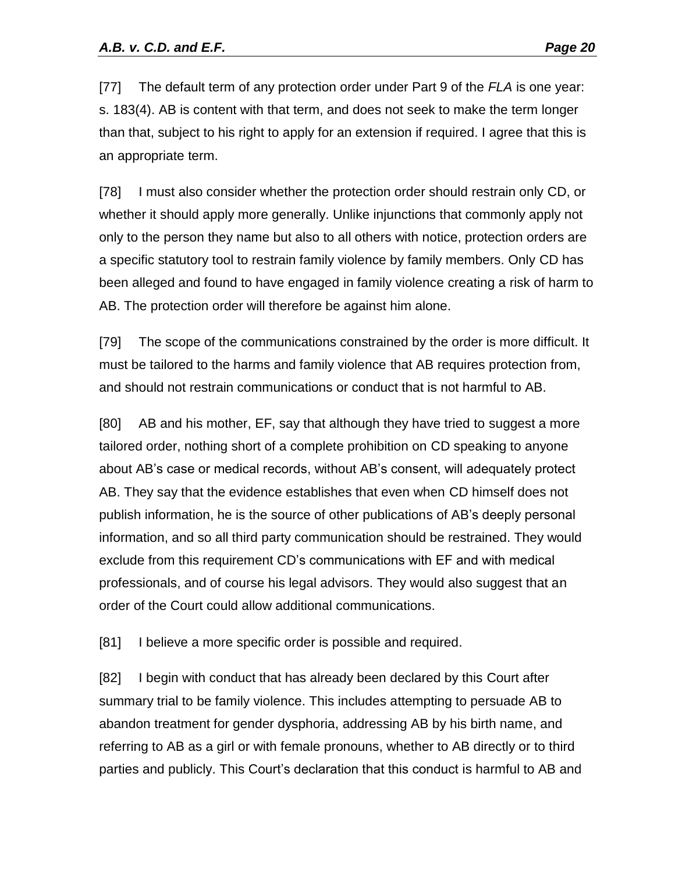[77] The default term of any protection order under Part 9 of the *FLA* is one year: s. 183(4). AB is content with that term, and does not seek to make the term longer than that, subject to his right to apply for an extension if required. I agree that this is an appropriate term.

[78] I must also consider whether the protection order should restrain only CD, or whether it should apply more generally. Unlike injunctions that commonly apply not only to the person they name but also to all others with notice, protection orders are a specific statutory tool to restrain family violence by family members. Only CD has been alleged and found to have engaged in family violence creating a risk of harm to AB. The protection order will therefore be against him alone.

[79] The scope of the communications constrained by the order is more difficult. It must be tailored to the harms and family violence that AB requires protection from, and should not restrain communications or conduct that is not harmful to AB.

[80] AB and his mother, EF, say that although they have tried to suggest a more tailored order, nothing short of a complete prohibition on CD speaking to anyone about AB's case or medical records, without AB's consent, will adequately protect AB. They say that the evidence establishes that even when CD himself does not publish information, he is the source of other publications of AB's deeply personal information, and so all third party communication should be restrained. They would exclude from this requirement CD's communications with EF and with medical professionals, and of course his legal advisors. They would also suggest that an order of the Court could allow additional communications.

[81] I believe a more specific order is possible and required.

[82] I begin with conduct that has already been declared by this Court after summary trial to be family violence. This includes attempting to persuade AB to abandon treatment for gender dysphoria, addressing AB by his birth name, and referring to AB as a girl or with female pronouns, whether to AB directly or to third parties and publicly. This Court's declaration that this conduct is harmful to AB and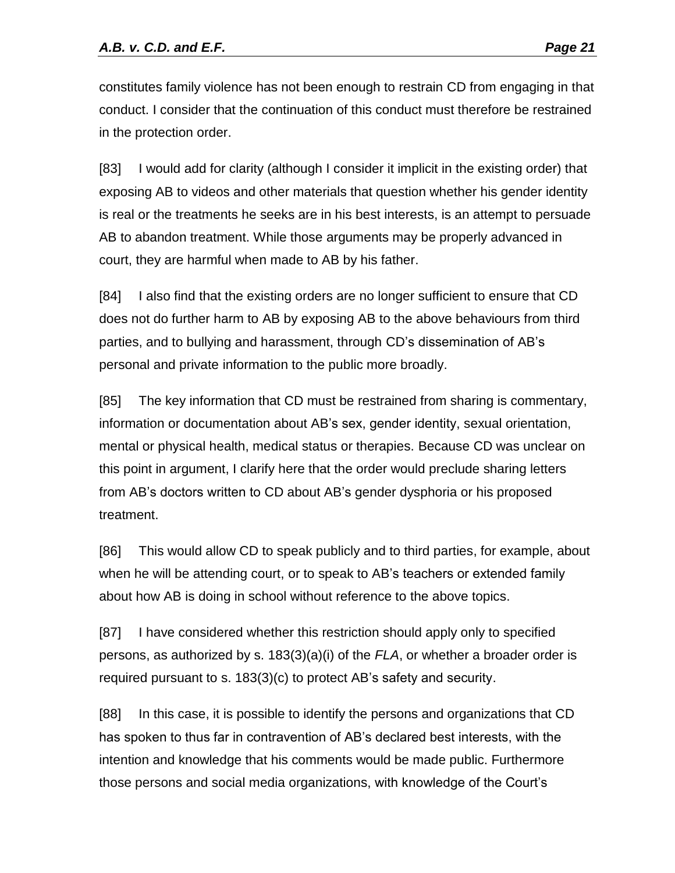constitutes family violence has not been enough to restrain CD from engaging in that conduct. I consider that the continuation of this conduct must therefore be restrained in the protection order.

[83] I would add for clarity (although I consider it implicit in the existing order) that exposing AB to videos and other materials that question whether his gender identity is real or the treatments he seeks are in his best interests, is an attempt to persuade AB to abandon treatment. While those arguments may be properly advanced in court, they are harmful when made to AB by his father.

[84] I also find that the existing orders are no longer sufficient to ensure that CD does not do further harm to AB by exposing AB to the above behaviours from third parties, and to bullying and harassment, through CD's dissemination of AB's personal and private information to the public more broadly.

[85] The key information that CD must be restrained from sharing is commentary, information or documentation about AB's sex, gender identity, sexual orientation, mental or physical health, medical status or therapies. Because CD was unclear on this point in argument, I clarify here that the order would preclude sharing letters from AB's doctors written to CD about AB's gender dysphoria or his proposed treatment.

[86] This would allow CD to speak publicly and to third parties, for example, about when he will be attending court, or to speak to AB's teachers or extended family about how AB is doing in school without reference to the above topics.

[87] I have considered whether this restriction should apply only to specified persons, as authorized by s. 183(3)(a)(i) of the *FLA*, or whether a broader order is required pursuant to s. 183(3)(c) to protect AB's safety and security.

[88] In this case, it is possible to identify the persons and organizations that CD has spoken to thus far in contravention of AB's declared best interests, with the intention and knowledge that his comments would be made public. Furthermore those persons and social media organizations, with knowledge of the Court's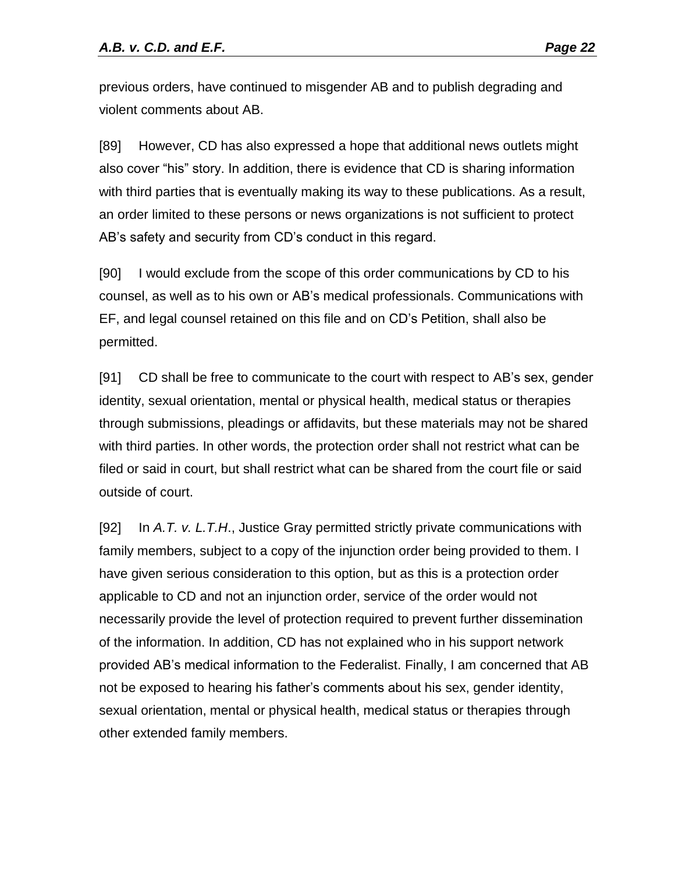previous orders, have continued to misgender AB and to publish degrading and violent comments about AB.

[89] However, CD has also expressed a hope that additional news outlets might also cover "his" story. In addition, there is evidence that CD is sharing information with third parties that is eventually making its way to these publications. As a result, an order limited to these persons or news organizations is not sufficient to protect AB's safety and security from CD's conduct in this regard.

[90] I would exclude from the scope of this order communications by CD to his counsel, as well as to his own or AB's medical professionals. Communications with EF, and legal counsel retained on this file and on CD's Petition, shall also be permitted.

[91] CD shall be free to communicate to the court with respect to AB's sex, gender identity, sexual orientation, mental or physical health, medical status or therapies through submissions, pleadings or affidavits, but these materials may not be shared with third parties. In other words, the protection order shall not restrict what can be filed or said in court, but shall restrict what can be shared from the court file or said outside of court.

[92] In *A.T. v. L.T.H*., Justice Gray permitted strictly private communications with family members, subject to a copy of the injunction order being provided to them. I have given serious consideration to this option, but as this is a protection order applicable to CD and not an injunction order, service of the order would not necessarily provide the level of protection required to prevent further dissemination of the information. In addition, CD has not explained who in his support network provided AB's medical information to the Federalist. Finally, I am concerned that AB not be exposed to hearing his father's comments about his sex, gender identity, sexual orientation, mental or physical health, medical status or therapies through other extended family members.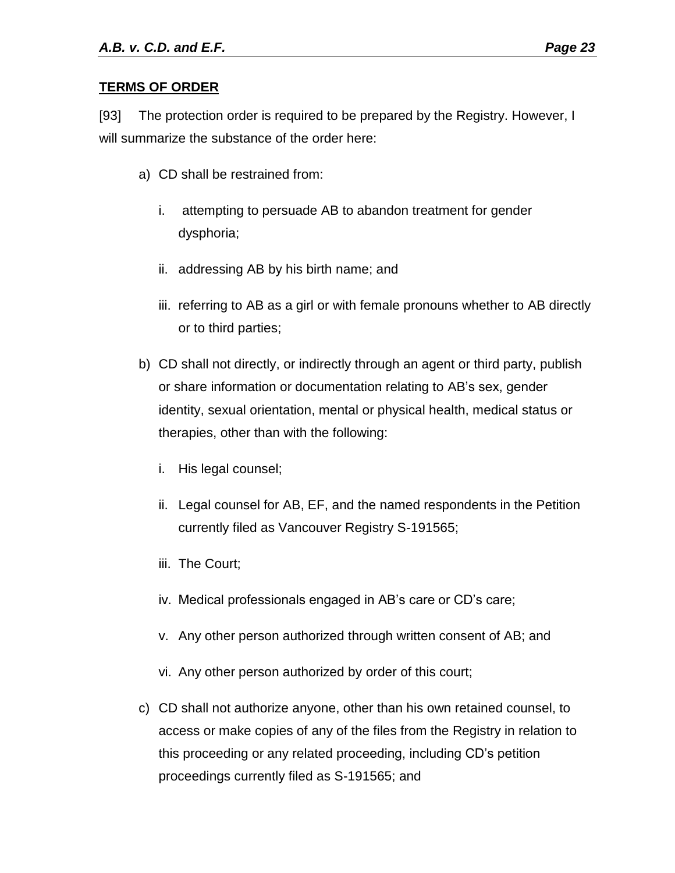#### **TERMS OF ORDER**

[93] The protection order is required to be prepared by the Registry. However, I will summarize the substance of the order here:

- a) CD shall be restrained from:
	- i. attempting to persuade AB to abandon treatment for gender dysphoria;
	- ii. addressing AB by his birth name; and
	- iii. referring to AB as a girl or with female pronouns whether to AB directly or to third parties;
- b) CD shall not directly, or indirectly through an agent or third party, publish or share information or documentation relating to AB's sex, gender identity, sexual orientation, mental or physical health, medical status or therapies, other than with the following:
	- i. His legal counsel;
	- ii. Legal counsel for AB, EF, and the named respondents in the Petition currently filed as Vancouver Registry S-191565;
	- iii. The Court;
	- iv. Medical professionals engaged in AB's care or CD's care;
	- v. Any other person authorized through written consent of AB; and
	- vi. Any other person authorized by order of this court;
- c) CD shall not authorize anyone, other than his own retained counsel, to access or make copies of any of the files from the Registry in relation to this proceeding or any related proceeding, including CD's petition proceedings currently filed as S-191565; and